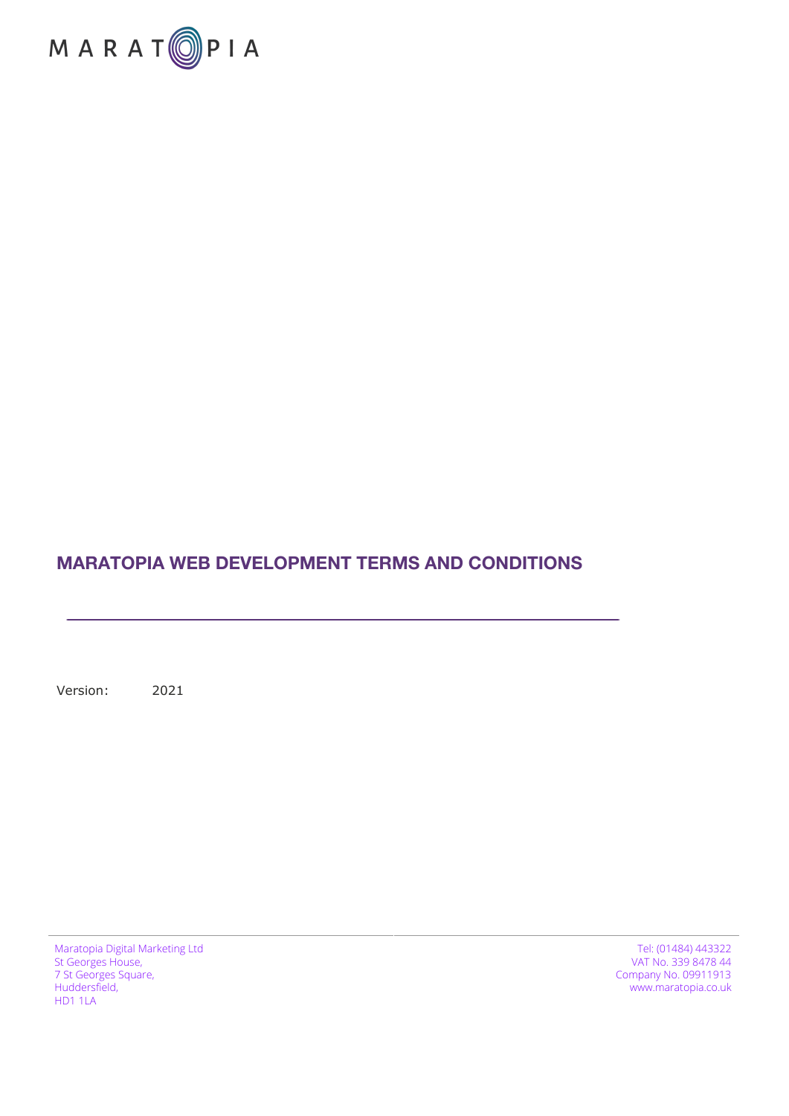

### **MARATOPIA WEB DEVELOPMENT TERMS AND CONDITIONS**

Version: 2021

Maratopia Digital Marketing Ltd St Georges House, 7 St Georges Square, Huddersfield, HD1 1LA

Tel: (01484) 443322 VAT No. 339 8478 44 Company No. 09911913 www.maratopia.co.uk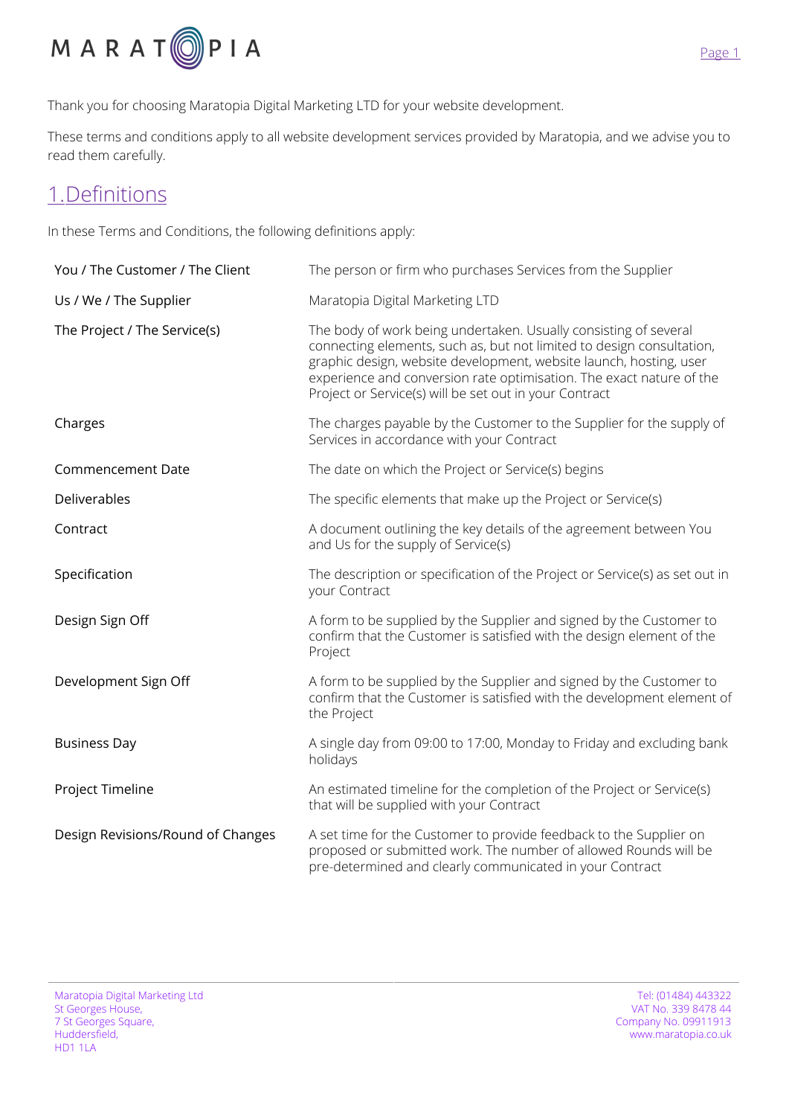

Thank you for choosing Maratopia Digital Marketing LTD for your website development.

These terms and conditions apply to all website development services provided by Maratopia, and we advise you to read them carefully.

## 1.Definitions

In these Terms and Conditions, the following definitions apply:

| You / The Customer / The Client   | The person or firm who purchases Services from the Supplier                                                                                                                                                                                                                                                                                       |
|-----------------------------------|---------------------------------------------------------------------------------------------------------------------------------------------------------------------------------------------------------------------------------------------------------------------------------------------------------------------------------------------------|
| Us / We / The Supplier            | Maratopia Digital Marketing LTD                                                                                                                                                                                                                                                                                                                   |
| The Project / The Service(s)      | The body of work being undertaken. Usually consisting of several<br>connecting elements, such as, but not limited to design consultation,<br>graphic design, website development, website launch, hosting, user<br>experience and conversion rate optimisation. The exact nature of the<br>Project or Service(s) will be set out in your Contract |
| Charges                           | The charges payable by the Customer to the Supplier for the supply of<br>Services in accordance with your Contract                                                                                                                                                                                                                                |
| Commencement Date                 | The date on which the Project or Service(s) begins                                                                                                                                                                                                                                                                                                |
| Deliverables                      | The specific elements that make up the Project or Service(s)                                                                                                                                                                                                                                                                                      |
| Contract                          | A document outlining the key details of the agreement between You<br>and Us for the supply of Service(s)                                                                                                                                                                                                                                          |
| Specification                     | The description or specification of the Project or Service(s) as set out in<br>your Contract                                                                                                                                                                                                                                                      |
| Design Sign Off                   | A form to be supplied by the Supplier and signed by the Customer to<br>confirm that the Customer is satisfied with the design element of the<br>Project                                                                                                                                                                                           |
| Development Sign Off              | A form to be supplied by the Supplier and signed by the Customer to<br>confirm that the Customer is satisfied with the development element of<br>the Project                                                                                                                                                                                      |
| <b>Business Day</b>               | A single day from 09:00 to 17:00, Monday to Friday and excluding bank<br>holidays                                                                                                                                                                                                                                                                 |
| Project Timeline                  | An estimated timeline for the completion of the Project or Service(s)<br>that will be supplied with your Contract                                                                                                                                                                                                                                 |
| Design Revisions/Round of Changes | A set time for the Customer to provide feedback to the Supplier on<br>proposed or submitted work. The number of allowed Rounds will be<br>pre-determined and clearly communicated in your Contract                                                                                                                                                |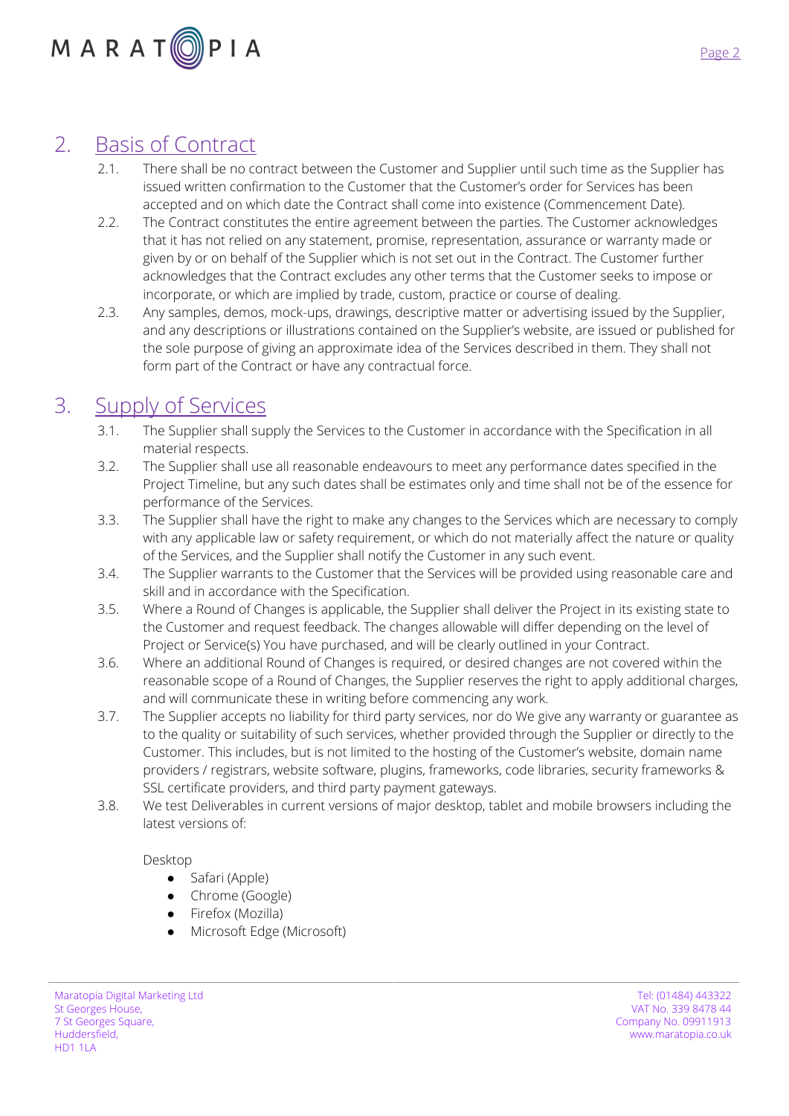# 2. Basis of Contract

- 2.1. There shall be no contract between the Customer and Supplier until such time as the Supplier has issued written confirmation to the Customer that the Customer's order for Services has been accepted and on which date the Contract shall come into existence (Commencement Date).
- 2.2. The Contract constitutes the entire agreement between the parties. The Customer acknowledges that it has not relied on any statement, promise, representation, assurance or warranty made or given by or on behalf of the Supplier which is not set out in the Contract. The Customer further acknowledges that the Contract excludes any other terms that the Customer seeks to impose or incorporate, or which are implied by trade, custom, practice or course of dealing.
- 2.3. Any samples, demos, mock-ups, drawings, descriptive matter or advertising issued by the Supplier, and any descriptions or illustrations contained on the Supplier's website, are issued or published for the sole purpose of giving an approximate idea of the Services described in them. They shall not form part of the Contract or have any contractual force.

# 3. Supply of Services

- 3.1. The Supplier shall supply the Services to the Customer in accordance with the Specification in all material respects.
- 3.2. The Supplier shall use all reasonable endeavours to meet any performance dates specified in the Project Timeline, but any such dates shall be estimates only and time shall not be of the essence for performance of the Services.
- 3.3. The Supplier shall have the right to make any changes to the Services which are necessary to comply with any applicable law or safety requirement, or which do not materially affect the nature or quality of the Services, and the Supplier shall notify the Customer in any such event.
- 3.4. The Supplier warrants to the Customer that the Services will be provided using reasonable care and skill and in accordance with the Specification.
- 3.5. Where a Round of Changes is applicable, the Supplier shall deliver the Project in its existing state to the Customer and request feedback. The changes allowable will differ depending on the level of Project or Service(s) You have purchased, and will be clearly outlined in your Contract.
- 3.6. Where an additional Round of Changes is required, or desired changes are not covered within the reasonable scope of a Round of Changes, the Supplier reserves the right to apply additional charges, and will communicate these in writing before commencing any work.
- 3.7. The Supplier accepts no liability for third party services, nor do We give any warranty or guarantee as to the quality or suitability of such services, whether provided through the Supplier or directly to the Customer. This includes, but is not limited to the hosting of the Customer's website, domain name providers / registrars, website software, plugins, frameworks, code libraries, security frameworks & SSL certificate providers, and third party payment gateways.
- 3.8. We test Deliverables in current versions of major desktop, tablet and mobile browsers including the latest versions of:

#### Desktop

- Safari (Apple)
- Chrome (Google)
- Firefox (Mozilla)
- Microsoft Edge (Microsoft)

Maratopia Digital Marketing Ltd St Georges House, 7 St Georges Square, Huddersfield, HD1 1LA

Tel: (01484) 443322 VAT No. 339 8478 44 Company No. 09911913 www.maratopia.co.uk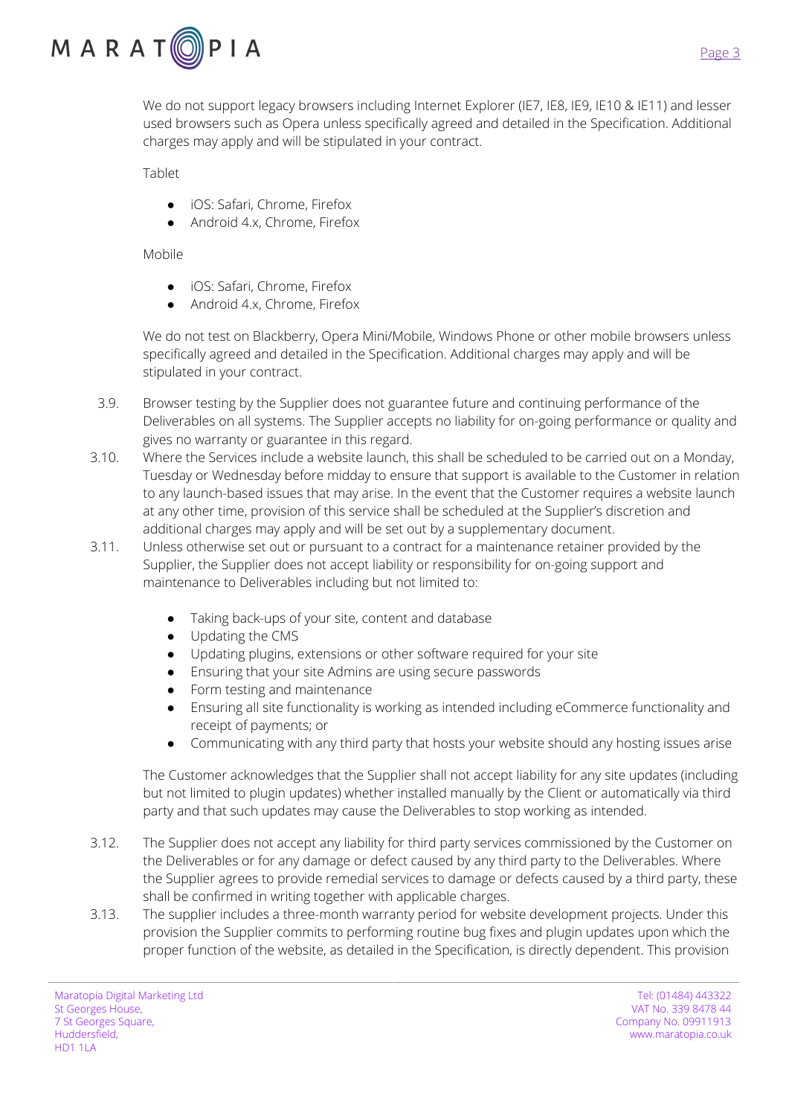

We do not support legacy browsers including Internet Explorer (IE7, IE8, IE9, IE10 & IE11) and lesser used browsers such as Opera unless specifically agreed and detailed in the Specification. Additional charges may apply and will be stipulated in your contract.

Tablet

- iOS: Safari, Chrome, Firefox
- Android 4.x, Chrome, Firefox

Mobile

- iOS: Safari, Chrome, Firefox
- Android 4.x, Chrome, Firefox

We do not test on Blackberry, Opera Mini/Mobile, Windows Phone or other mobile browsers unless specifically agreed and detailed in the Specification. Additional charges may apply and will be stipulated in your contract.

- 3.9. Browser testing by the Supplier does not guarantee future and continuing performance of the Deliverables on all systems. The Supplier accepts no liability for on-going performance or quality and gives no warranty or guarantee in this regard.
- 3.10. Where the Services include a website launch, this shall be scheduled to be carried out on a Monday, Tuesday or Wednesday before midday to ensure that support is available to the Customer in relation to any launch-based issues that may arise. In the event that the Customer requires a website launch at any other time, provision of this service shall be scheduled at the Supplier's discretion and additional charges may apply and will be set out by a supplementary document.
- 3.11. Unless otherwise set out or pursuant to a contract for a maintenance retainer provided by the Supplier, the Supplier does not accept liability or responsibility for on-going support and maintenance to Deliverables including but not limited to:
	- Taking back-ups of your site, content and database
	- Updating the CMS
	- Updating plugins, extensions or other software required for your site
	- Ensuring that your site Admins are using secure passwords
	- Form testing and maintenance
	- Ensuring all site functionality is working as intended including eCommerce functionality and receipt of payments; or
	- Communicating with any third party that hosts your website should any hosting issues arise

The Customer acknowledges that the Supplier shall not accept liability for any site updates (including but not limited to plugin updates) whether installed manually by the Client or automatically via third party and that such updates may cause the Deliverables to stop working as intended.

- 3.12. The Supplier does not accept any liability for third party services commissioned by the Customer on the Deliverables or for any damage or defect caused by any third party to the Deliverables. Where the Supplier agrees to provide remedial services to damage or defects caused by a third party, these shall be confirmed in writing together with applicable charges.
- 3.13. The supplier includes a three-month warranty period for website development projects. Under this provision the Supplier commits to performing routine bug fixes and plugin updates upon which the proper function of the website, as detailed in the Specification, is directly dependent. This provision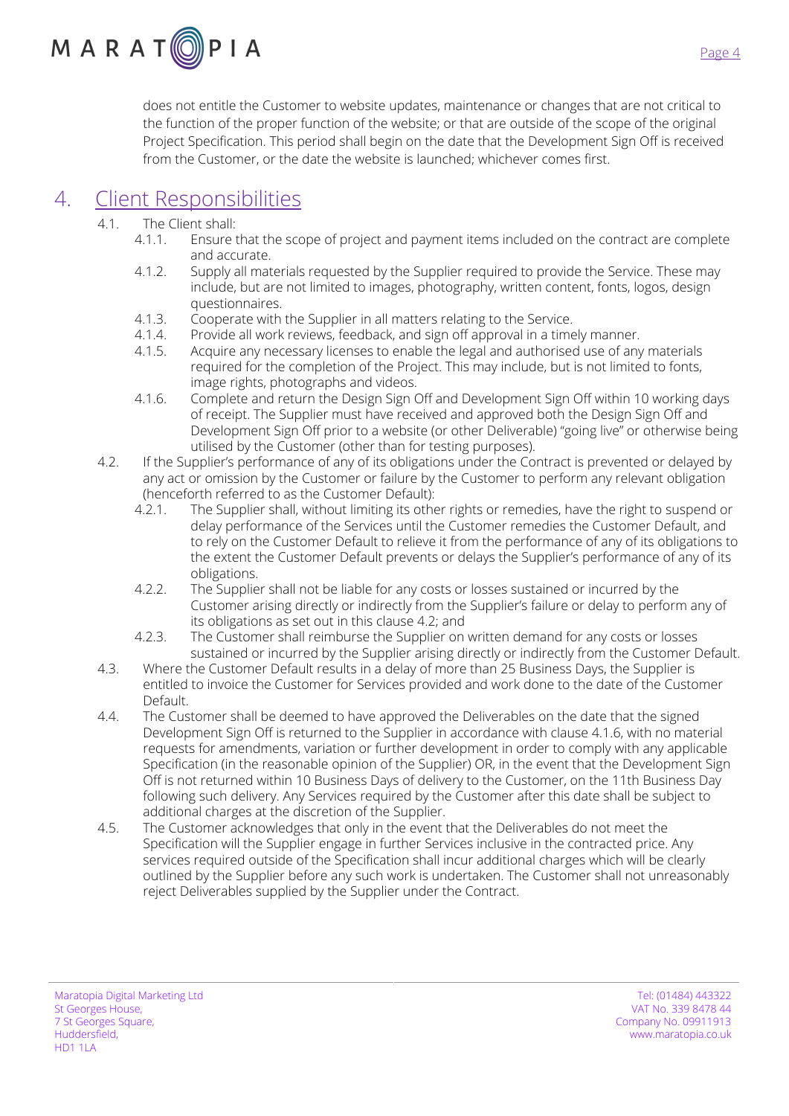

does not entitle the Customer to website updates, maintenance or changes that are not critical to the function of the proper function of the website; or that are outside of the scope of the original Project Specification. This period shall begin on the date that the Development Sign Off is received from the Customer, or the date the website is launched; whichever comes first.

### 4. Client Responsibilities

- 4.1. The Client shall:
	- 4.1.1. Ensure that the scope of project and payment items included on the contract are complete and accurate.
	- 4.1.2. Supply all materials requested by the Supplier required to provide the Service. These may include, but are not limited to images, photography, written content, fonts, logos, design questionnaires.
	- 4.1.3. Cooperate with the Supplier in all matters relating to the Service.
	- 4.1.4. Provide all work reviews, feedback, and sign off approval in a timely manner.<br>4.1.5. Acquire any necessary licenses to enable the legal and authorised use of any
	- Acquire any necessary licenses to enable the legal and authorised use of any materials required for the completion of the Project. This may include, but is not limited to fonts, image rights, photographs and videos.
	- 4.1.6. Complete and return the Design Sign Off and Development Sign Off within 10 working days of receipt. The Supplier must have received and approved both the Design Sign Off and Development Sign Off prior to a website (or other Deliverable) "going live" or otherwise being utilised by the Customer (other than for testing purposes).
- 4.2. If the Supplier's performance of any of its obligations under the Contract is prevented or delayed by any act or omission by the Customer or failure by the Customer to perform any relevant obligation (henceforth referred to as the Customer Default):
	- 4.2.1. The Supplier shall, without limiting its other rights or remedies, have the right to suspend or delay performance of the Services until the Customer remedies the Customer Default, and to rely on the Customer Default to relieve it from the performance of any of its obligations to the extent the Customer Default prevents or delays the Supplier's performance of any of its obligations.
	- 4.2.2. The Supplier shall not be liable for any costs or losses sustained or incurred by the Customer arising directly or indirectly from the Supplier's failure or delay to perform any of its obligations as set out in this clause 4.2; and
	- 4.2.3. The Customer shall reimburse the Supplier on written demand for any costs or losses sustained or incurred by the Supplier arising directly or indirectly from the Customer Default.
- 4.3. Where the Customer Default results in a delay of more than 25 Business Days, the Supplier is entitled to invoice the Customer for Services provided and work done to the date of the Customer Default.
- 4.4. The Customer shall be deemed to have approved the Deliverables on the date that the signed Development Sign Off is returned to the Supplier in accordance with clause 4.1.6, with no material requests for amendments, variation or further development in order to comply with any applicable Specification (in the reasonable opinion of the Supplier) OR, in the event that the Development Sign Off is not returned within 10 Business Days of delivery to the Customer, on the 11th Business Day following such delivery. Any Services required by the Customer after this date shall be subject to additional charges at the discretion of the Supplier.
- 4.5. The Customer acknowledges that only in the event that the Deliverables do not meet the Specification will the Supplier engage in further Services inclusive in the contracted price. Any services required outside of the Specification shall incur additional charges which will be clearly outlined by the Supplier before any such work is undertaken. The Customer shall not unreasonably reject Deliverables supplied by the Supplier under the Contract.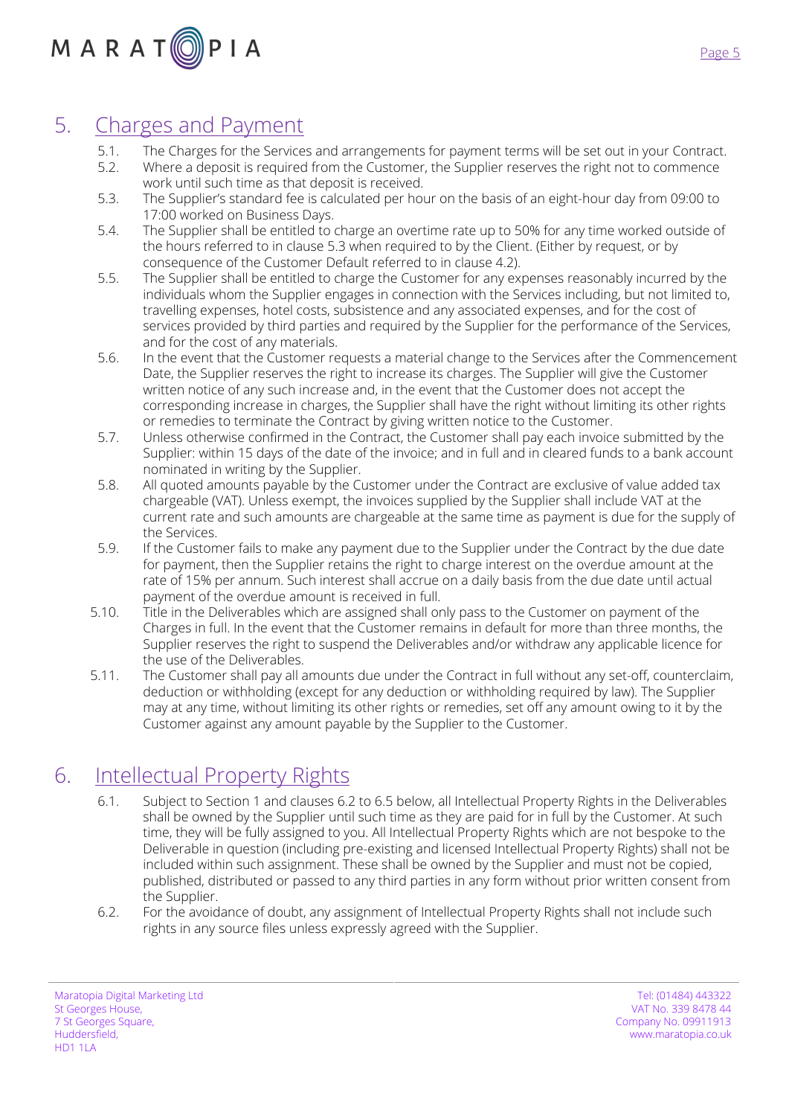# 5. Charges and Payment

- 5.1. The Charges for the Services and arrangements for payment terms will be set out in your Contract.
- 5.2. Where a deposit is required from the Customer, the Supplier reserves the right not to commence work until such time as that deposit is received.
- 5.3. The Supplier's standard fee is calculated per hour on the basis of an eight-hour day from 09:00 to 17:00 worked on Business Days.
- 5.4. The Supplier shall be entitled to charge an overtime rate up to 50% for any time worked outside of the hours referred to in clause 5.3 when required to by the Client. (Either by request, or by consequence of the Customer Default referred to in clause 4.2).
- 5.5. The Supplier shall be entitled to charge the Customer for any expenses reasonably incurred by the individuals whom the Supplier engages in connection with the Services including, but not limited to, travelling expenses, hotel costs, subsistence and any associated expenses, and for the cost of services provided by third parties and required by the Supplier for the performance of the Services, and for the cost of any materials.
- 5.6. In the event that the Customer requests a material change to the Services after the Commencement Date, the Supplier reserves the right to increase its charges. The Supplier will give the Customer written notice of any such increase and, in the event that the Customer does not accept the corresponding increase in charges, the Supplier shall have the right without limiting its other rights or remedies to terminate the Contract by giving written notice to the Customer.
- 5.7. Unless otherwise confirmed in the Contract, the Customer shall pay each invoice submitted by the Supplier: within 15 days of the date of the invoice; and in full and in cleared funds to a bank account nominated in writing by the Supplier.
- 5.8. All quoted amounts payable by the Customer under the Contract are exclusive of value added tax chargeable (VAT). Unless exempt, the invoices supplied by the Supplier shall include VAT at the current rate and such amounts are chargeable at the same time as payment is due for the supply of the Services.
- 5.9. If the Customer fails to make any payment due to the Supplier under the Contract by the due date for payment, then the Supplier retains the right to charge interest on the overdue amount at the rate of 15% per annum. Such interest shall accrue on a daily basis from the due date until actual payment of the overdue amount is received in full.
- 5.10. Title in the Deliverables which are assigned shall only pass to the Customer on payment of the Charges in full. In the event that the Customer remains in default for more than three months, the Supplier reserves the right to suspend the Deliverables and/or withdraw any applicable licence for the use of the Deliverables.
- 5.11. The Customer shall pay all amounts due under the Contract in full without any set-off, counterclaim, deduction or withholding (except for any deduction or withholding required by law). The Supplier may at any time, without limiting its other rights or remedies, set off any amount owing to it by the Customer against any amount payable by the Supplier to the Customer.

# 6. Intellectual Property Rights

- 6.1. Subject to Section 1 and clauses 6.2 to 6.5 below, all Intellectual Property Rights in the Deliverables shall be owned by the Supplier until such time as they are paid for in full by the Customer. At such time, they will be fully assigned to you. All Intellectual Property Rights which are not bespoke to the Deliverable in question (including pre-existing and licensed Intellectual Property Rights) shall not be included within such assignment. These shall be owned by the Supplier and must not be copied, published, distributed or passed to any third parties in any form without prior written consent from the Supplier.
- 6.2. For the avoidance of doubt, any assignment of Intellectual Property Rights shall not include such rights in any source files unless expressly agreed with the Supplier.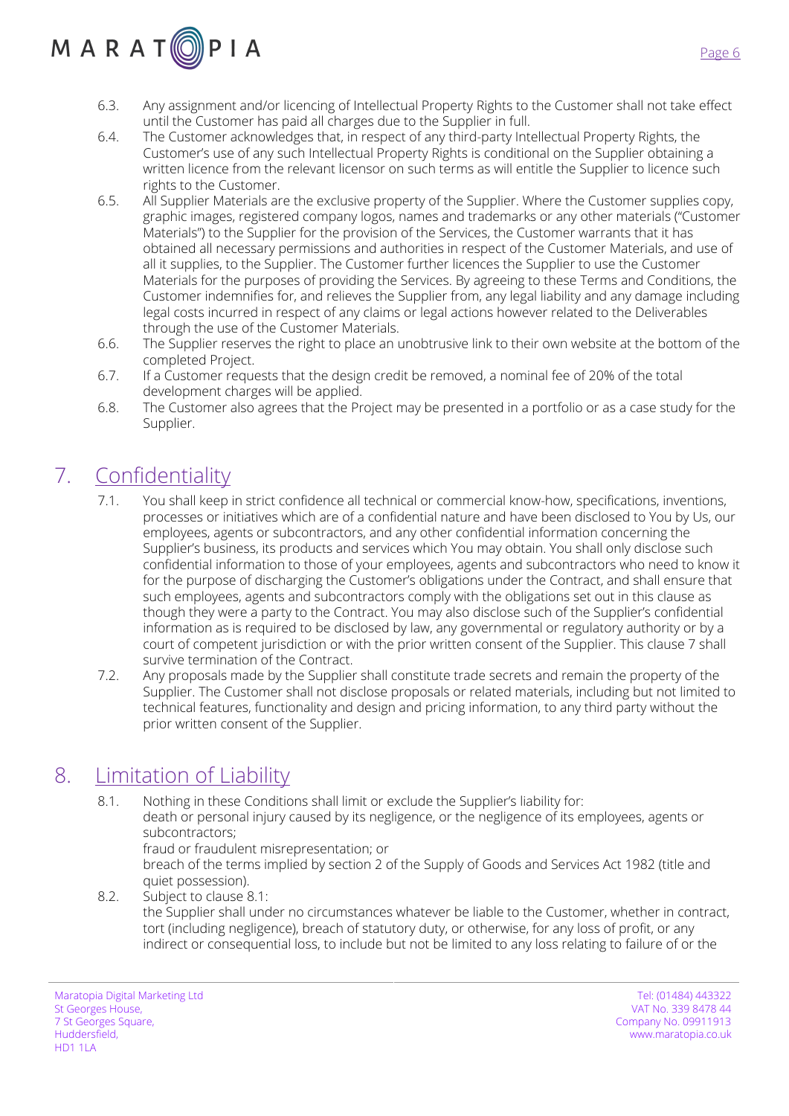# $M$  A R A T  $\textcircled{\scriptsize{0}}$  P I A

- 6.3. Any assignment and/or licencing of Intellectual Property Rights to the Customer shall not take effect until the Customer has paid all charges due to the Supplier in full.
- 6.4. The Customer acknowledges that, in respect of any third-party Intellectual Property Rights, the Customer's use of any such Intellectual Property Rights is conditional on the Supplier obtaining a written licence from the relevant licensor on such terms as will entitle the Supplier to licence such rights to the Customer.
- 6.5. All Supplier Materials are the exclusive property of the Supplier. Where the Customer supplies copy, graphic images, registered company logos, names and trademarks or any other materials ("Customer Materials") to the Supplier for the provision of the Services, the Customer warrants that it has obtained all necessary permissions and authorities in respect of the Customer Materials, and use of all it supplies, to the Supplier. The Customer further licences the Supplier to use the Customer Materials for the purposes of providing the Services. By agreeing to these Terms and Conditions, the Customer indemnifies for, and relieves the Supplier from, any legal liability and any damage including legal costs incurred in respect of any claims or legal actions however related to the Deliverables through the use of the Customer Materials.
- 6.6. The Supplier reserves the right to place an unobtrusive link to their own website at the bottom of the completed Project.
- 6.7. If a Customer requests that the design credit be removed, a nominal fee of 20% of the total development charges will be applied.
- 6.8. The Customer also agrees that the Project may be presented in a portfolio or as a case study for the Supplier.

# 7. Confidentiality

- 7.1. You shall keep in strict confidence all technical or commercial know-how, specifications, inventions, processes or initiatives which are of a confidential nature and have been disclosed to You by Us, our employees, agents or subcontractors, and any other confidential information concerning the Supplier's business, its products and services which You may obtain. You shall only disclose such confidential information to those of your employees, agents and subcontractors who need to know it for the purpose of discharging the Customer's obligations under the Contract, and shall ensure that such employees, agents and subcontractors comply with the obligations set out in this clause as though they were a party to the Contract. You may also disclose such of the Supplier's confidential information as is required to be disclosed by law, any governmental or regulatory authority or by a court of competent jurisdiction or with the prior written consent of the Supplier. This clause 7 shall survive termination of the Contract.
- 7.2. Any proposals made by the Supplier shall constitute trade secrets and remain the property of the Supplier. The Customer shall not disclose proposals or related materials, including but not limited to technical features, functionality and design and pricing information, to any third party without the prior written consent of the Supplier.

# 8. Limitation of Liability

- 8.1. Nothing in these Conditions shall limit or exclude the Supplier's liability for: death or personal injury caused by its negligence, or the negligence of its employees, agents or subcontractors;
	- fraud or fraudulent misrepresentation; or

breach of the terms implied by section 2 of the Supply of Goods and Services Act 1982 (title and quiet possession).

8.2. Subject to clause 8.1: the Supplier shall under no circumstances whatever be liable to the Customer, whether in contract, tort (including negligence), breach of statutory duty, or otherwise, for any loss of profit, or any indirect or consequential loss, to include but not be limited to any loss relating to failure of or the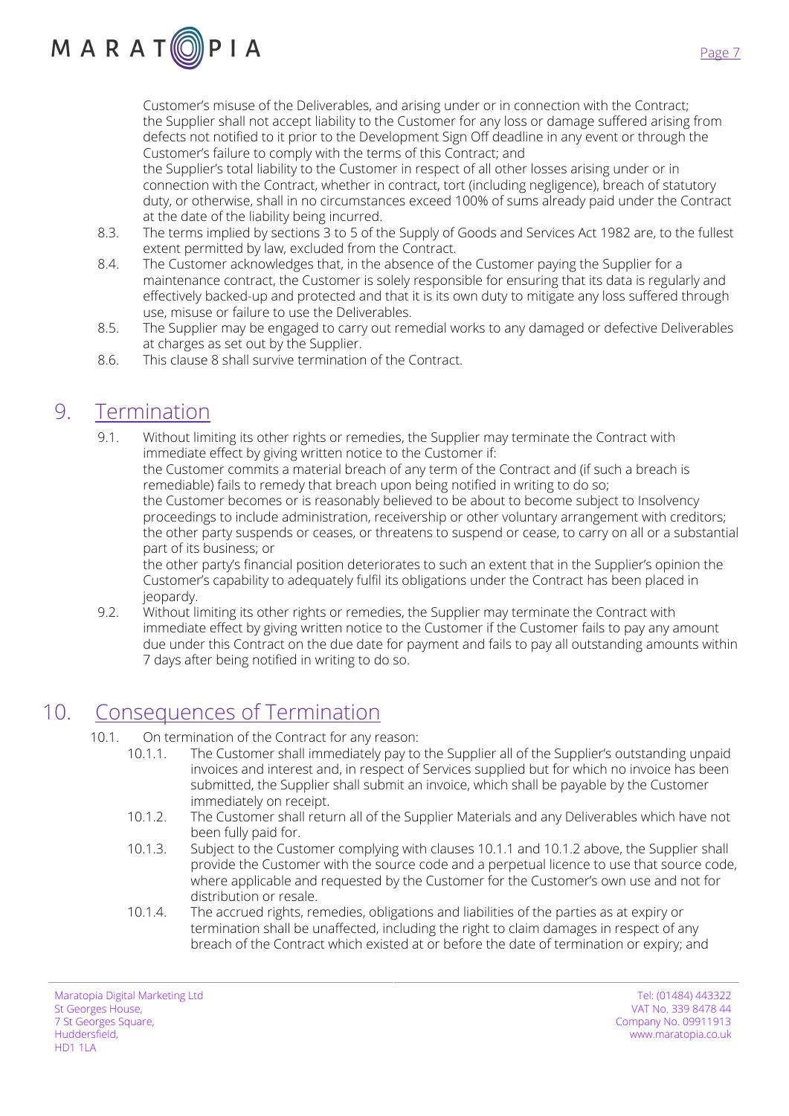

Customer's misuse of the Deliverables, and arising under or in connection with the Contract; the Supplier shall not accept liability to the Customer for any loss or damage suffered arising from defects not notified to it prior to the Development Sign Off deadline in any event or through the Customer's failure to comply with the terms of this Contract; and

the Supplier's total liability to the Customer in respect of all other losses arising under or in connection with the Contract, whether in contract, tort (including negligence), breach of statutory duty, or otherwise, shall in no circumstances exceed 100% of sums already paid under the Contract at the date of the liability being incurred.

- 8.3. The terms implied by sections 3 to 5 of the Supply of Goods and Services Act 1982 are, to the fullest extent permitted by law, excluded from the Contract.
- 8.4. The Customer acknowledges that, in the absence of the Customer paying the Supplier for a maintenance contract, the Customer is solely responsible for ensuring that its data is regularly and effectively backed-up and protected and that it is its own duty to mitigate any loss suffered through use, misuse or failure to use the Deliverables.
- 8.5. The Supplier may be engaged to carry out remedial works to any damaged or defective Deliverables at charges as set out by the Supplier.
- 8.6. This clause 8 shall survive termination of the Contract.

# 9. Termination

9.1. Without limiting its other rights or remedies, the Supplier may terminate the Contract with immediate effect by giving written notice to the Customer if: the Customer commits a material breach of any term of the Contract and (if such a breach is remediable) fails to remedy that breach upon being notified in writing to do so; the Customer becomes or is reasonably believed to be about to become subject to Insolvency proceedings to include administration, receivership or other voluntary arrangement with creditors; the other party suspends or ceases, or threatens to suspend or cease, to carry on all or a substantial part of its business; or

the other party's financial position deteriorates to such an extent that in the Supplier's opinion the Customer's capability to adequately fulfil its obligations under the Contract has been placed in jeopardy.

9.2. Without limiting its other rights or remedies, the Supplier may terminate the Contract with immediate effect by giving written notice to the Customer if the Customer fails to pay any amount due under this Contract on the due date for payment and fails to pay all outstanding amounts within 7 days after being notified in writing to do so.

# 10. Consequences of Termination

- 10.1. On termination of the Contract for any reason:
	- 10.1.1. The Customer shall immediately pay to the Supplier all of the Supplier's outstanding unpaid invoices and interest and, in respect of Services supplied but for which no invoice has been submitted, the Supplier shall submit an invoice, which shall be payable by the Customer immediately on receipt.
	- 10.1.2. The Customer shall return all of the Supplier Materials and any Deliverables which have not been fully paid for.
	- 10.1.3. Subject to the Customer complying with clauses 10.1.1 and 10.1.2 above, the Supplier shall provide the Customer with the source code and a perpetual licence to use that source code, where applicable and requested by the Customer for the Customer's own use and not for distribution or resale.
	- 10.1.4. The accrued rights, remedies, obligations and liabilities of the parties as at expiry or termination shall be unaffected, including the right to claim damages in respect of any breach of the Contract which existed at or before the date of termination or expiry; and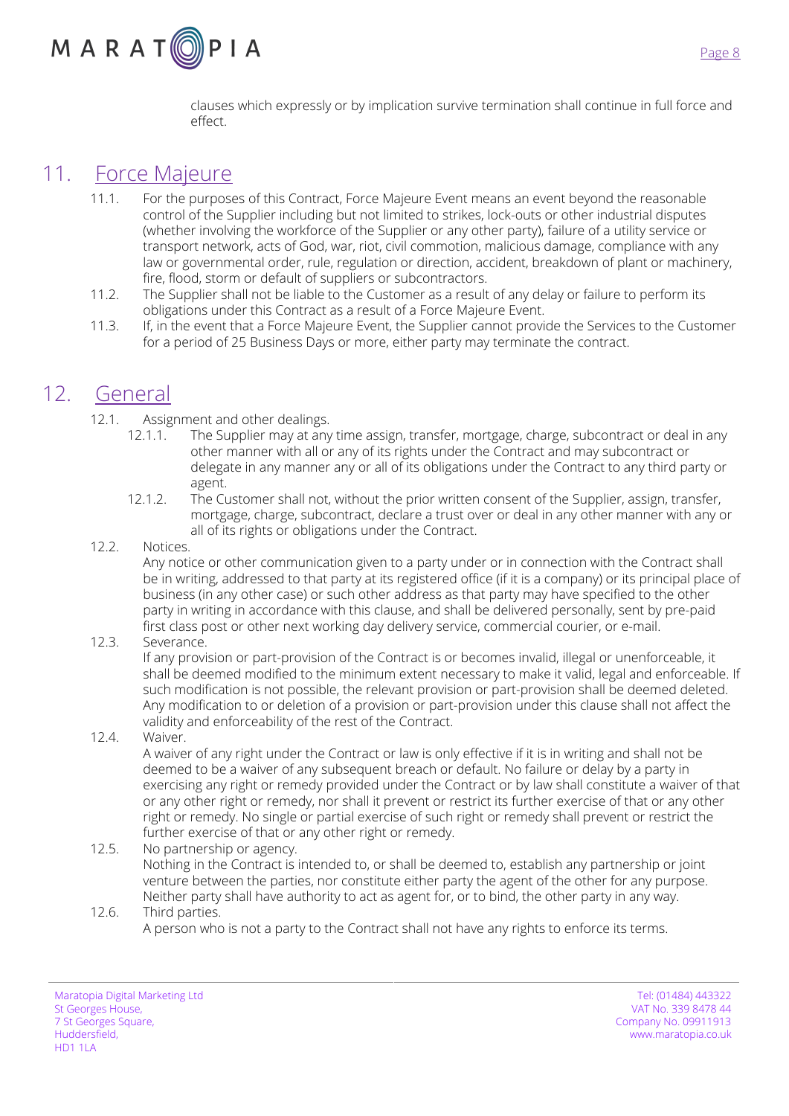

clauses which expressly or by implication survive termination shall continue in full force and effect.

### 11. Force Majeure

- 11.1. For the purposes of this Contract, Force Majeure Event means an event beyond the reasonable control of the Supplier including but not limited to strikes, lock-outs or other industrial disputes (whether involving the workforce of the Supplier or any other party), failure of a utility service or transport network, acts of God, war, riot, civil commotion, malicious damage, compliance with any law or governmental order, rule, regulation or direction, accident, breakdown of plant or machinery, fire, flood, storm or default of suppliers or subcontractors.
- 11.2. The Supplier shall not be liable to the Customer as a result of any delay or failure to perform its obligations under this Contract as a result of a Force Majeure Event.
- 11.3. If, in the event that a Force Majeure Event, the Supplier cannot provide the Services to the Customer for a period of 25 Business Days or more, either party may terminate the contract.

## 12. General

- 12.1. Assignment and other dealings.
	- 12.1.1. The Supplier may at any time assign, transfer, mortgage, charge, subcontract or deal in any other manner with all or any of its rights under the Contract and may subcontract or delegate in any manner any or all of its obligations under the Contract to any third party or agent.
	- 12.1.2. The Customer shall not, without the prior written consent of the Supplier, assign, transfer, mortgage, charge, subcontract, declare a trust over or deal in any other manner with any or all of its rights or obligations under the Contract.

#### 12.2. Notices.

Any notice or other communication given to a party under or in connection with the Contract shall be in writing, addressed to that party at its registered office (if it is a company) or its principal place of business (in any other case) or such other address as that party may have specified to the other party in writing in accordance with this clause, and shall be delivered personally, sent by pre-paid first class post or other next working day delivery service, commercial courier, or e-mail.

#### 12.3. Severance.

If any provision or part-provision of the Contract is or becomes invalid, illegal or unenforceable, it shall be deemed modified to the minimum extent necessary to make it valid, legal and enforceable. If such modification is not possible, the relevant provision or part-provision shall be deemed deleted. Any modification to or deletion of a provision or part-provision under this clause shall not affect the validity and enforceability of the rest of the Contract.

12.4. Waiver.

A waiver of any right under the Contract or law is only effective if it is in writing and shall not be deemed to be a waiver of any subsequent breach or default. No failure or delay by a party in exercising any right or remedy provided under the Contract or by law shall constitute a waiver of that or any other right or remedy, nor shall it prevent or restrict its further exercise of that or any other right or remedy. No single or partial exercise of such right or remedy shall prevent or restrict the further exercise of that or any other right or remedy.

- 12.5. No partnership or agency. Nothing in the Contract is intended to, or shall be deemed to, establish any partnership or joint venture between the parties, nor constitute either party the agent of the other for any purpose. Neither party shall have authority to act as agent for, or to bind, the other party in any way.
- 12.6. Third parties.
	- A person who is not a party to the Contract shall not have any rights to enforce its terms.